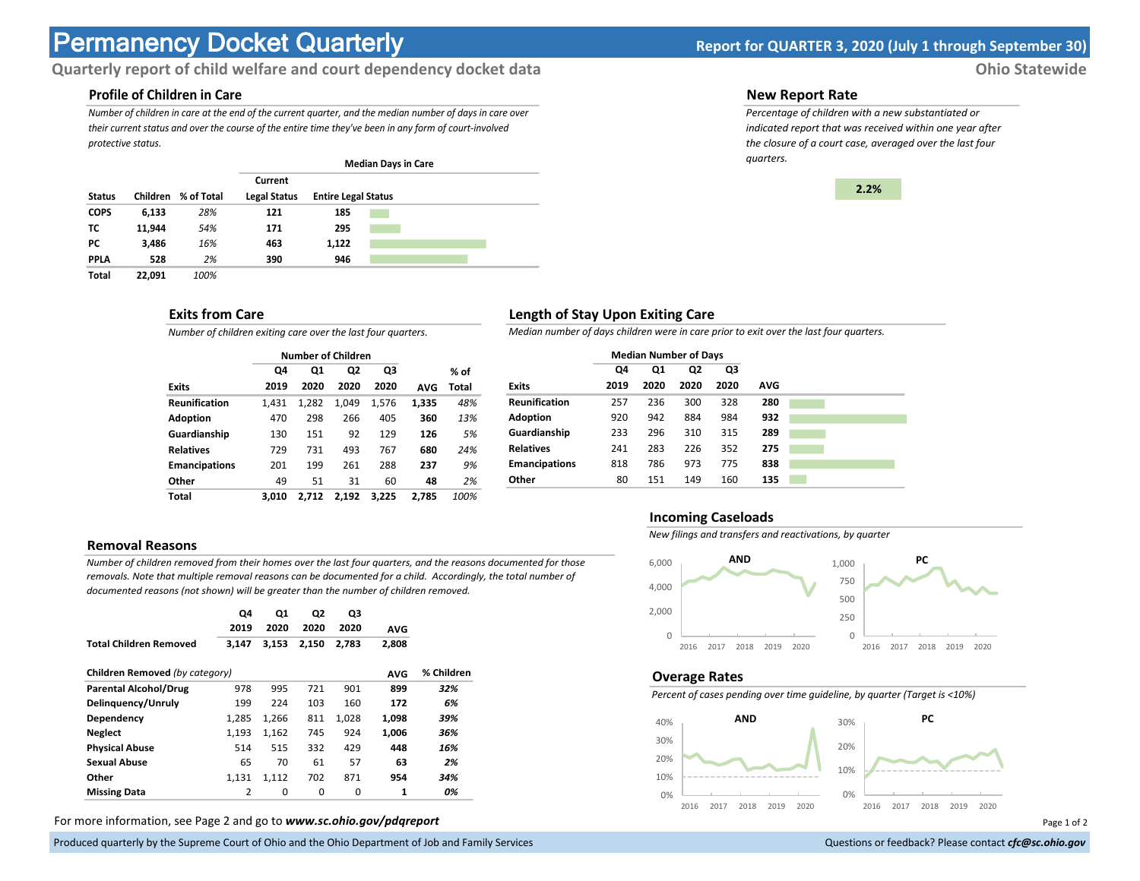# **Permanency Docket Quarterly Report for QUARTER 3, 2020 (July 1 through September 30)**

# **Quarterly report of child welfare and court dependency docket data** *Ohio Statewide*

# **Profile of Children in Care**

*Number of children in care at the end of the current quarter, and the median number of days in care over their current status and over the course of the entire time they've been in any form of court-involved protective status.*

|               |          |            |                     |                            | <b>Median Days in Care</b> |  |  |
|---------------|----------|------------|---------------------|----------------------------|----------------------------|--|--|
|               |          |            | Current             |                            |                            |  |  |
| <b>Status</b> | Children | % of Total | <b>Legal Status</b> | <b>Entire Legal Status</b> |                            |  |  |
| <b>COPS</b>   | 6,133    | 28%        | 121                 | 185                        |                            |  |  |
| тс            | 11.944   | 54%        | 171                 | 295                        |                            |  |  |
| РC            | 3.486    | 16%        | 463                 | 1,122                      |                            |  |  |
| <b>PPLA</b>   | 528      | 2%         | 390                 | 946                        |                            |  |  |
| Total         | 22,091   | 100%       |                     |                            |                            |  |  |

#### **Exits from Care**

*Number of children exiting care over the last four quarters.*

|                      |       | <b>Number of Children</b> |       |       |            |       |
|----------------------|-------|---------------------------|-------|-------|------------|-------|
|                      | Q4    | Q1                        | Q2    | Q3    |            | % of  |
| <b>Exits</b>         | 2019  | 2020                      | 2020  | 2020  | <b>AVG</b> | Total |
| <b>Reunification</b> | 1.431 | 1,282                     | 1.049 | 1,576 | 1,335      | 48%   |
| Adoption             | 470   | 298                       | 266   | 405   | 360        | 13%   |
| Guardianship         | 130   | 151                       | 92    | 129   | 126        | 5%    |
| <b>Relatives</b>     | 729   | 731                       | 493   | 767   | 680        | 24%   |
| <b>Emancipations</b> | 201   | 199                       | 261   | 288   | 237        | 9%    |
| Other                | 49    | 51                        | 31    | 60    | 48         | 2%    |
| Total                | 3.010 | 2.712                     | 2.192 | 3.225 | 2.785      | 100%  |

#### **Removal Reasons**

*Number of children removed from their homes over the last four quarters, and the reasons documented for those removals. Note that multiple removal reasons can be documented for a child. Accordingly, the total number of documented reasons (not shown) will be greater than the number of children removed.* 

|                                | Q4             | Q1    | Q2    | Q3    |              |            |
|--------------------------------|----------------|-------|-------|-------|--------------|------------|
|                                | 2019           | 2020  | 2020  | 2020  | <b>AVG</b>   |            |
| <b>Total Children Removed</b>  | 3,147          | 3,153 | 2,150 | 2,783 | 2,808        |            |
| Children Removed (by category) |                |       |       |       | <b>AVG</b>   | % Children |
| <b>Parental Alcohol/Drug</b>   | 978            | 995   | 721   | 901   | 899          | 32%        |
| Delinquency/Unruly             | 199            | 224   | 103   | 160   | 172          | 6%         |
| Dependency                     | 1,285          | 1.266 | 811   | 1,028 | 1,098        | 39%        |
| <b>Neglect</b>                 | 1,193          | 1,162 | 745   | 924   | 1.006        | 36%        |
| <b>Physical Abuse</b>          | 514            | 515   | 332   | 429   | 448          | 16%        |
| <b>Sexual Abuse</b>            | 65             | 70    | 61    | 57    | 63           | 2%         |
| Other                          | 1,131          | 1,112 | 702   | 871   | 954          | 34%        |
| <b>Missing Data</b>            | $\overline{2}$ | 0     | 0     | 0     | $\mathbf{1}$ | 0%         |

For more information, see Page 2 and go to *www.sc.ohio.gov/pdqreport* examples and the example of 2 and 2 and 3 and 2 and 2 and 2 and 2 and 2 and 2 and 2 and 2 and 2 and 2 and 2 and 2 and 2 and 2 and 2 and 2 and 2 and 2 a

Produced quarterly by the Supreme Court of Ohio and the Ohio Department of Job and Family Services Questions or feedback? Please contact *cfc@sc.ohio.gov* **Questions or feedback? Please contact** *cfc@sc.ohio.gov* 

#### **New Report Rate**

*Percentage of children with a new substantiated or indicated report that was received within one year after the closure of a court case, averaged over the last four quarters.*



## **Length of Stay Upon Exiting Care**

*Median number of days children were in care prior to exit over the last four quarters.*

|                      | <b>Median Number of Days</b> |      |      |      |     |  |
|----------------------|------------------------------|------|------|------|-----|--|
|                      | Q4                           | Q1   | Q2   | Q3   |     |  |
| <b>Exits</b>         | 2019                         | 2020 | 2020 | 2020 | AVG |  |
| <b>Reunification</b> | 257                          | 236  | 300  | 328  | 280 |  |
| Adoption             | 920                          | 942  | 884  | 984  | 932 |  |
| Guardianship         | 233                          | 296  | 310  | 315  | 289 |  |
| <b>Relatives</b>     | 241                          | 283  | 226  | 352  | 275 |  |
| <b>Emancipations</b> | 818                          | 786  | 973  | 775  | 838 |  |
| Other                | 80                           | 151  | 149  | 160  | 135 |  |

#### **Incoming Caseloads**

*New filings and transfers and reactivations, by quarter*



#### **Overage Rates**

*Percent of cases pending over time guideline, by quarter (Target is <10%)*